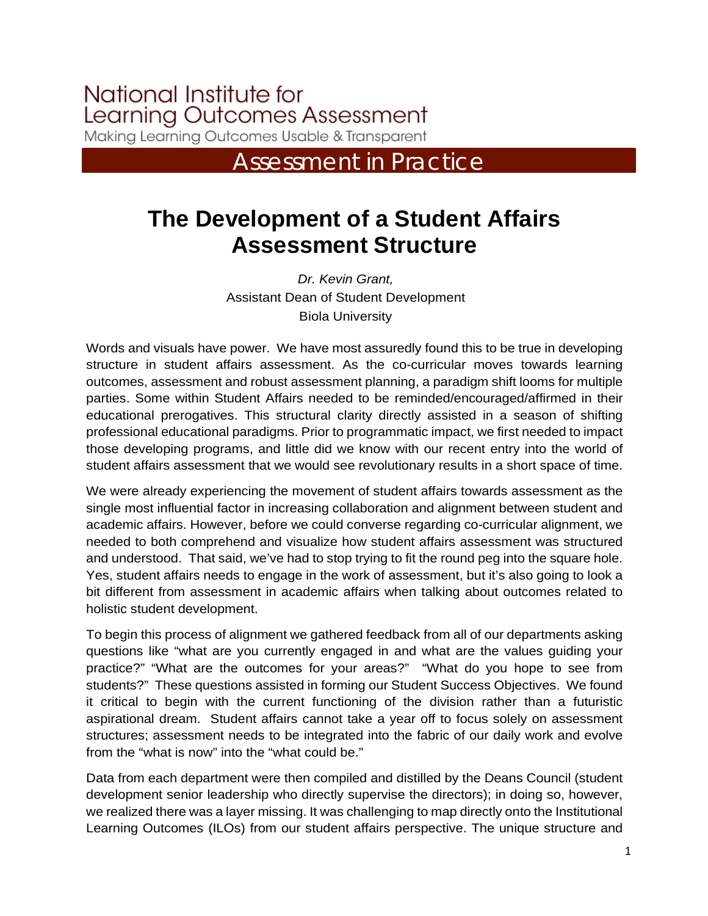Assessment in Practice

## **The Development of a Student Affairs Assessment Structure**

*Dr. Kevin Grant,* Assistant Dean of Student Development Biola University

Words and visuals have power. We have most assuredly found this to be true in developing structure in student affairs assessment. As the co-curricular moves towards learning outcomes, assessment and robust assessment planning, a paradigm shift looms for multiple parties. Some within Student Affairs needed to be reminded/encouraged/affirmed in their educational prerogatives. This structural clarity directly assisted in a season of shifting professional educational paradigms. Prior to programmatic impact, we first needed to impact those developing programs, and little did we know with our recent entry into the world of student affairs assessment that we would see revolutionary results in a short space of time.

We were already experiencing the movement of student affairs towards assessment as the single most influential factor in increasing collaboration and alignment between student and academic affairs. However, before we could converse regarding co-curricular alignment, we needed to both comprehend and visualize how student affairs assessment was structured and understood. That said, we've had to stop trying to fit the round peg into the square hole. Yes, student affairs needs to engage in the work of assessment, but it's also going to look a bit different from assessment in academic affairs when talking about outcomes related to holistic student development.

To begin this process of alignment we gathered feedback from all of our departments asking questions like "what are you currently engaged in and what are the values guiding your practice?" "What are the outcomes for your areas?" "What do you hope to see from students?" These questions assisted in forming our Student Success Objectives. We found it critical to begin with the current functioning of the division rather than a futuristic aspirational dream. Student affairs cannot take a year off to focus solely on assessment structures; assessment needs to be integrated into the fabric of our daily work and evolve from the "what is now" into the "what could be."

Data from each department were then compiled and distilled by the Deans Council (student development senior leadership who directly supervise the directors); in doing so, however, we realized there was a layer missing. It was challenging to map directly onto the Institutional Learning Outcomes (ILOs) from our student affairs perspective. The unique structure and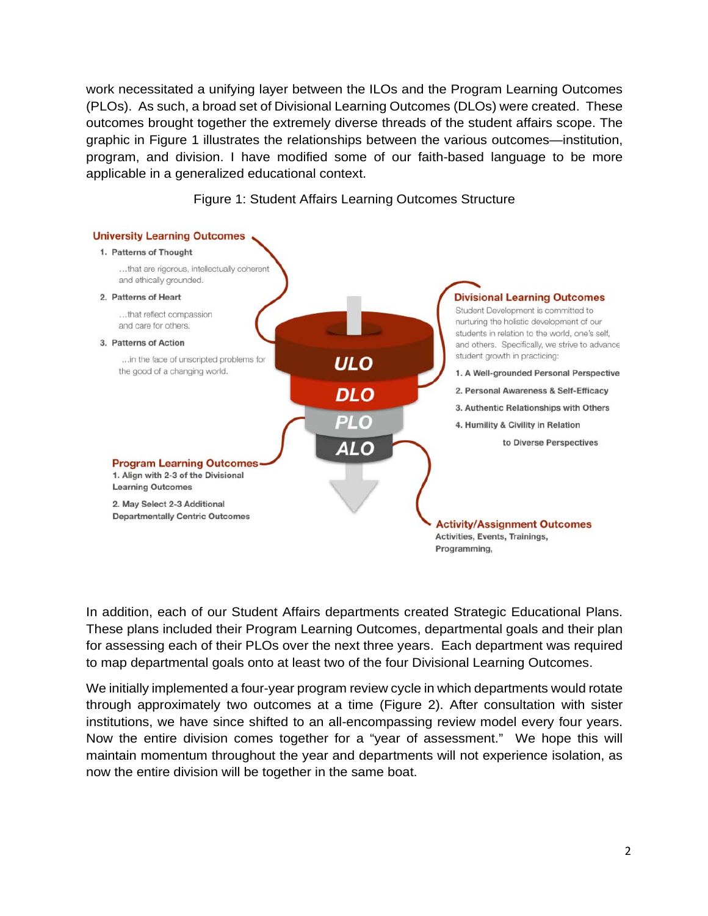work necessitated a unifying layer between the ILOs and the Program Learning Outcomes (PLOs). As such, a broad set of Divisional Learning Outcomes (DLOs) were created. These outcomes brought together the extremely diverse threads of the student affairs scope. The graphic in Figure 1 illustrates the relationships between the various outcomes—institution, program, and division. I have modified some of our faith-based language to be more applicable in a generalized educational context.



## Figure 1: Student Affairs Learning Outcomes Structure

In addition, each of our Student Affairs departments created Strategic Educational Plans. These plans included their Program Learning Outcomes, departmental goals and their plan for assessing each of their PLOs over the next three years. Each department was required to map departmental goals onto at least two of the four Divisional Learning Outcomes.

We initially implemented a four-year program review cycle in which departments would rotate through approximately two outcomes at a time (Figure 2). After consultation with sister institutions, we have since shifted to an all-encompassing review model every four years. Now the entire division comes together for a "year of assessment." We hope this will maintain momentum throughout the year and departments will not experience isolation, as now the entire division will be together in the same boat.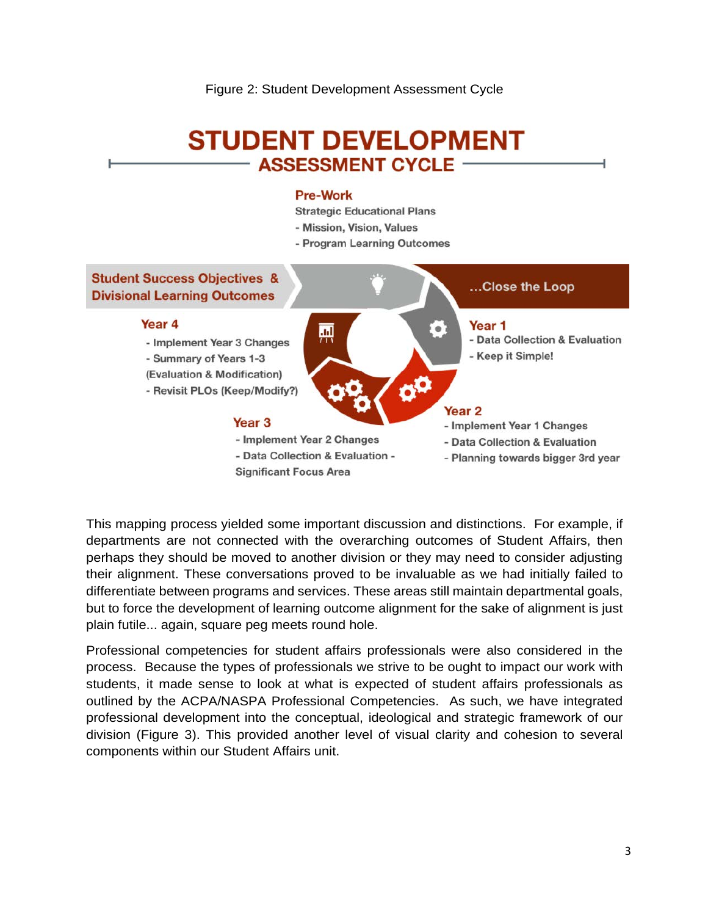## **STUDENT DEVELOPMENT ASSESSMENT CYCLE -**

## **Pre-Work**

- **Strategic Educational Plans**
- Mission, Vision, Values
- Program Learning Outcomes



This mapping process yielded some important discussion and distinctions. For example, if departments are not connected with the overarching outcomes of Student Affairs, then perhaps they should be moved to another division or they may need to consider adjusting their alignment. These conversations proved to be invaluable as we had initially failed to differentiate between programs and services. These areas still maintain departmental goals, but to force the development of learning outcome alignment for the sake of alignment is just plain futile... again, square peg meets round hole.

Professional competencies for student affairs professionals were also considered in the process. Because the types of professionals we strive to be ought to impact our work with students, it made sense to look at what is expected of student affairs professionals as outlined by the ACPA/NASPA Professional Competencies. As such, we have integrated professional development into the conceptual, ideological and strategic framework of our division (Figure 3). This provided another level of visual clarity and cohesion to several components within our Student Affairs unit.